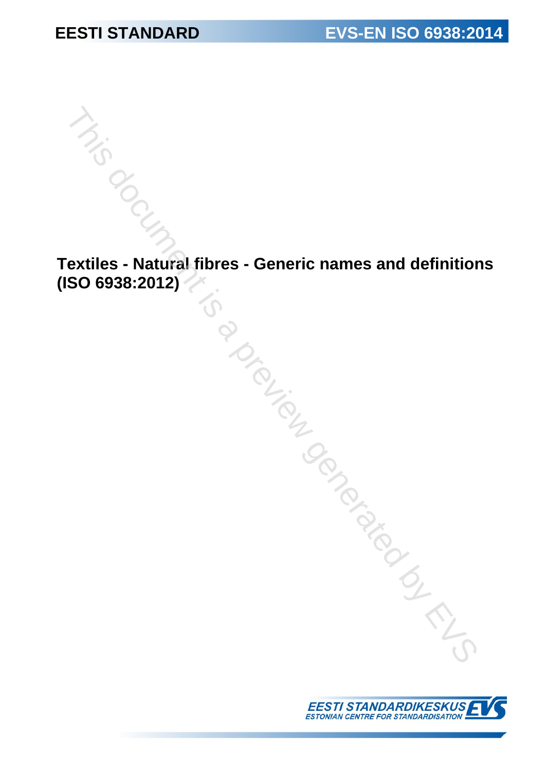**Textiles - Natural fibres - Generic names and definitions (ISO 6938:2012)** The Contract fibres - Generic names and definition<br>
SO 6938:2012)

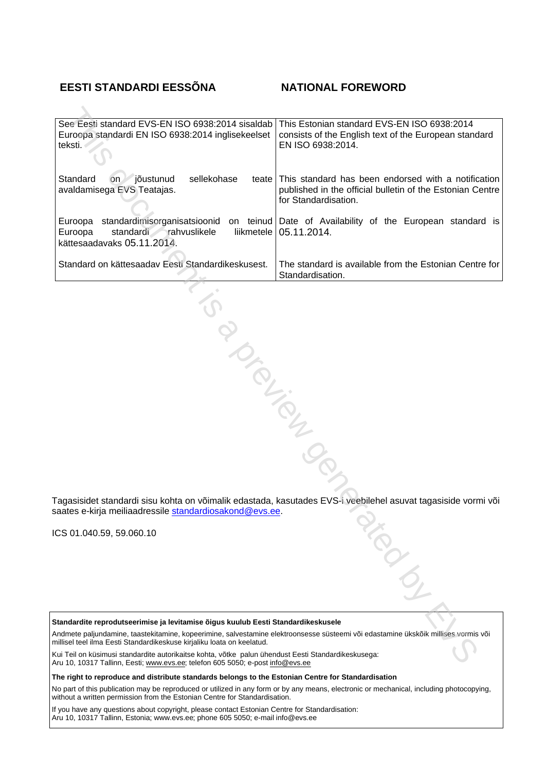## **EESTI STANDARDI EESSÕNA NATIONAL FOREWORD**

| See Eesti standard EVS-EN ISO 6938:2014 sisaldab<br>Euroopa standardi EN ISO 6938:2014 inglisekeelset<br>teksti.                                                                                             | This Estonian standard EVS-EN ISO 6938:2014<br>consists of the English text of the European standard<br>EN ISO 6938:2014.                |
|--------------------------------------------------------------------------------------------------------------------------------------------------------------------------------------------------------------|------------------------------------------------------------------------------------------------------------------------------------------|
| Standard<br>jõustunud<br>sellekohase<br><b>on</b><br>teate<br>avaldamisega EVS Teatajas.                                                                                                                     | This standard has been endorsed with a notification<br>published in the official bulletin of the Estonian Centre<br>for Standardisation. |
| standardimisorganisatsioonid<br>Euroopa<br>Euroopa<br>standardi rahvuslikele<br>kättesaadavaks 05.11.2014.                                                                                                   | on teinud Date of Availability of the European standard is<br>liikmetele   05.11.2014.                                                   |
| Standard on kättesaadav Eesti Standardikeskusest.                                                                                                                                                            | The standard is available from the Estonian Centre for<br>Standardisation.                                                               |
|                                                                                                                                                                                                              |                                                                                                                                          |
|                                                                                                                                                                                                              |                                                                                                                                          |
| PIONTELIA                                                                                                                                                                                                    |                                                                                                                                          |
|                                                                                                                                                                                                              |                                                                                                                                          |
|                                                                                                                                                                                                              |                                                                                                                                          |
|                                                                                                                                                                                                              |                                                                                                                                          |
|                                                                                                                                                                                                              |                                                                                                                                          |
| saates e-kirja meiliaadressile standardiosakond@evs.ee.                                                                                                                                                      | Tagasisidet standardi sisu kohta on võimalik edastada, kasutades EVS-i veebilehel asuvat tagasiside vormi või                            |
| CS 01.040.59, 59.060.10                                                                                                                                                                                      |                                                                                                                                          |
|                                                                                                                                                                                                              |                                                                                                                                          |
| Standardite reprodutseerimise ja levitamise õigus kuulub Eesti Standardikeskusele                                                                                                                            |                                                                                                                                          |
| Andmete paljundamine, taastekitamine, kopeerimine, salvestamine elektroonsesse süsteemi või edastamine ükskõik millises vormis või<br>millisel teel ilma Eesti Standardikeskuse kirjaliku loata on keelatud. |                                                                                                                                          |
| Kui Teil on küsimusi standardite autorikaitse kohta, võtke palun ühendust Eesti Standardikeskusega:<br>Aru 10, 10317 Tallinn, Eesti: www.eys.ee: telefon 605 5050; e-post info@eys.ee                        |                                                                                                                                          |

Aru 10, 10317 Tallinn, Eesti; www.evs.ee; telefon 605 5050; e-post info@evs.ee

**The right to reproduce and distribute standards belongs to the Estonian Centre for Standardisation**

No part of this publication may be reproduced or utilized in any form or by any means, electronic or mechanical, including photocopying, without a written permission from the Estonian Centre for Standardisation.

If you have any questions about copyright, please contact Estonian Centre for Standardisation: Aru 10, 10317 Tallinn, Estonia; [www.evs.ee](http://www.evs.ee); phone 605 5050; e-mail info@evs.ee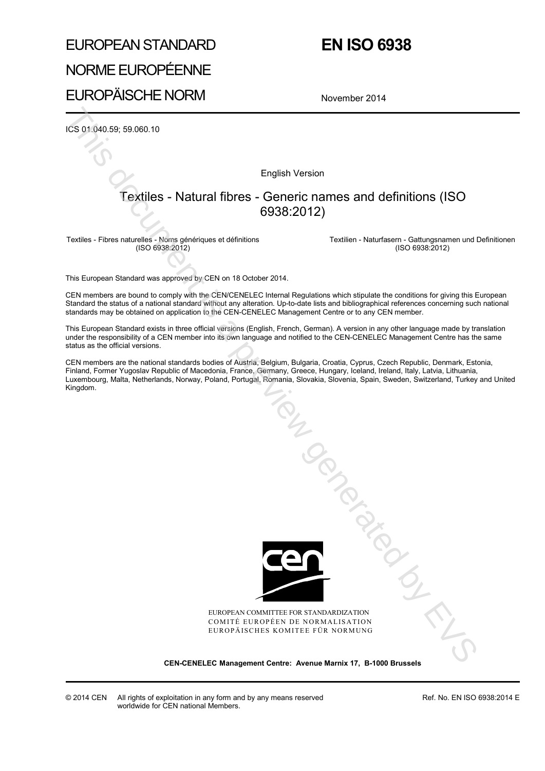# EUROPEAN STANDARD NORME EUROPÉENNE

# **EN ISO 6938**

# EUROPÄISCHE NORM

November 2014

ICS 01.040.59; 59.060.10

English Version

## Textiles - Natural fibres - Generic names and definitions (ISO 6938:2012)

Textiles - Fibres naturelles - Noms génériques et définitions (ISO 6938:2012)

 Textilien - Naturfasern - Gattungsnamen und Definitionen (ISO 6938:2012)

This European Standard was approved by CEN on 18 October 2014.

CEN members are bound to comply with the CEN/CENELEC Internal Regulations which stipulate the conditions for giving this European Standard the status of a national standard without any alteration. Up-to-date lists and bibliographical references concerning such national standards may be obtained on application to the CEN-CENELEC Management Centre or to any CEN member.

This European Standard exists in three official versions (English, French, German). A version in any other language made by translation under the responsibility of a CEN member into its own language and notified to the CEN-CENELEC Management Centre has the same status as the official versions.

CEN members are the national standards bodies of Austria, Belgium, Bulgaria, Croatia, Cyprus, Czech Republic, Denmark, Estonia, Finland, Former Yugoslav Republic of Macedonia, France, Germany, Greece, Hungary, Iceland, Ireland, Italy, Latvia, Lithuania, Luxembourg, Malta, Netherlands, Norway, Poland, Portugal, Romania, Slovakia, Slovenia, Spain, Sweden, Switzerland, Turkey and United Kingdom.



EUROPEAN COMMITTEE FOR STANDARDIZATION COMITÉ EUROPÉEN DE NORMALISATION EUROPÄISCHES KOMITEE FÜR NORMUNG

**CEN-CENELEC Management Centre: Avenue Marnix 17, B-1000 Brussels** 

Ref. No. EN ISO 6938:2014 E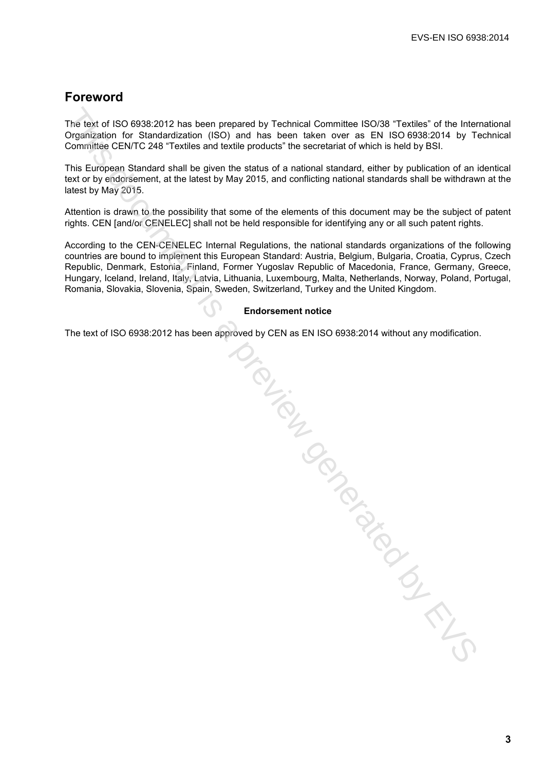# **Foreword**

The text of ISO 6938:2012 has been prepared by Technical Committee ISO/38 "Textiles" of the International Organization for Standardization (ISO) and has been taken over as EN ISO 6938:2014 by Technical Committee CEN/TC 248 "Textiles and textile products" the secretariat of which is held by BSI.

This European Standard shall be given the status of a national standard, either by publication of an identical text or by endorsement, at the latest by May 2015, and conflicting national standards shall be withdrawn at the latest by May 2015.

Attention is drawn to the possibility that some of the elements of this document may be the subject of patent rights. CEN [and/or CENELEC] shall not be held responsible for identifying any or all such patent rights.

According to the CEN-CENELEC Internal Regulations, the national standards organizations of the following countries are bound to implement this European Standard: Austria, Belgium, Bulgaria, Croatia, Cyprus, Czech Republic, Denmark, Estonia, Finland, Former Yugoslav Republic of Macedonia, France, Germany, Greece, Hungary, Iceland, Ireland, Italy, Latvia, Lithuania, Luxembourg, Malta, Netherlands, Norway, Poland, Portugal, Romania, Slovakia, Slovenia, Spain, Sweden, Switzerland, Turkey and the United Kingdom.

#### **Endorsement notice**

The text of ISO 6938:2012 has been approved by CEN as EN ISO 6938:2014 without any modification.

The text of ISO 6338-2012 has been prepared by Technical Committee ISO/38 "Textiles" of the inter-<br>Organization for Slandardziarion (ISS) and has been taken over as EN ISO 6388-2014 by To<br>Committee CENTC 248 "Textiles and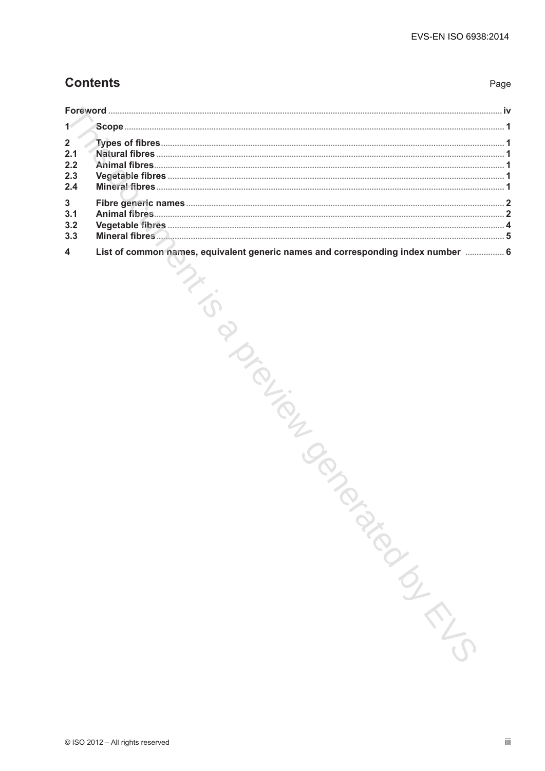# **Contents**

| $\mathbf{2}$<br>2.1<br>2.2<br>2.3<br>2.4 |                                                                                                          |    |
|------------------------------------------|----------------------------------------------------------------------------------------------------------|----|
| 3<br>3.1<br>3.2<br>3.3                   |                                                                                                          |    |
| 4                                        | List of common names, equivalent generic names and corresponding index number  6<br><b>PARTICIPALITY</b> |    |
|                                          | © ISO 2012 - All rights reserved                                                                         | Ϊİ |

Page